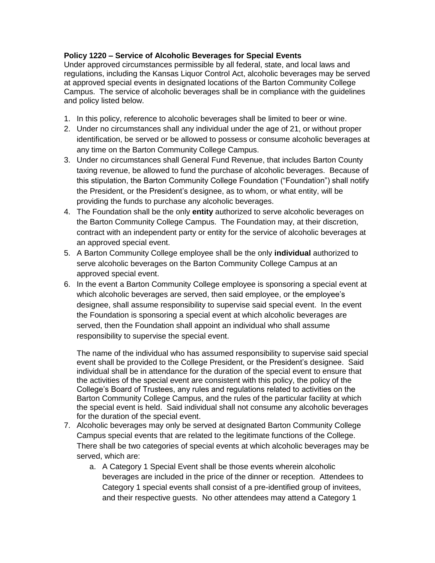## **Policy 1220 – Service of Alcoholic Beverages for Special Events**

Under approved circumstances permissible by all federal, state, and local laws and regulations, including the Kansas Liquor Control Act, alcoholic beverages may be served at approved special events in designated locations of the Barton Community College Campus. The service of alcoholic beverages shall be in compliance with the guidelines and policy listed below.

- 1. In this policy, reference to alcoholic beverages shall be limited to beer or wine.
- 2. Under no circumstances shall any individual under the age of 21, or without proper identification, be served or be allowed to possess or consume alcoholic beverages at any time on the Barton Community College Campus.
- 3. Under no circumstances shall General Fund Revenue, that includes Barton County taxing revenue, be allowed to fund the purchase of alcoholic beverages. Because of this stipulation, the Barton Community College Foundation ("Foundation") shall notify the President, or the President's designee, as to whom, or what entity, will be providing the funds to purchase any alcoholic beverages.
- 4. The Foundation shall be the only **entity** authorized to serve alcoholic beverages on the Barton Community College Campus. The Foundation may, at their discretion, contract with an independent party or entity for the service of alcoholic beverages at an approved special event.
- 5. A Barton Community College employee shall be the only **individual** authorized to serve alcoholic beverages on the Barton Community College Campus at an approved special event.
- 6. In the event a Barton Community College employee is sponsoring a special event at which alcoholic beverages are served, then said employee, or the employee's designee, shall assume responsibility to supervise said special event. In the event the Foundation is sponsoring a special event at which alcoholic beverages are served, then the Foundation shall appoint an individual who shall assume responsibility to supervise the special event.

The name of the individual who has assumed responsibility to supervise said special event shall be provided to the College President, or the President's designee. Said individual shall be in attendance for the duration of the special event to ensure that the activities of the special event are consistent with this policy, the policy of the College's Board of Trustees, any rules and regulations related to activities on the Barton Community College Campus, and the rules of the particular facility at which the special event is held. Said individual shall not consume any alcoholic beverages for the duration of the special event.

- 7. Alcoholic beverages may only be served at designated Barton Community College Campus special events that are related to the legitimate functions of the College. There shall be two categories of special events at which alcoholic beverages may be served, which are:
	- a. A Category 1 Special Event shall be those events wherein alcoholic beverages are included in the price of the dinner or reception. Attendees to Category 1 special events shall consist of a pre-identified group of invitees, and their respective guests. No other attendees may attend a Category 1